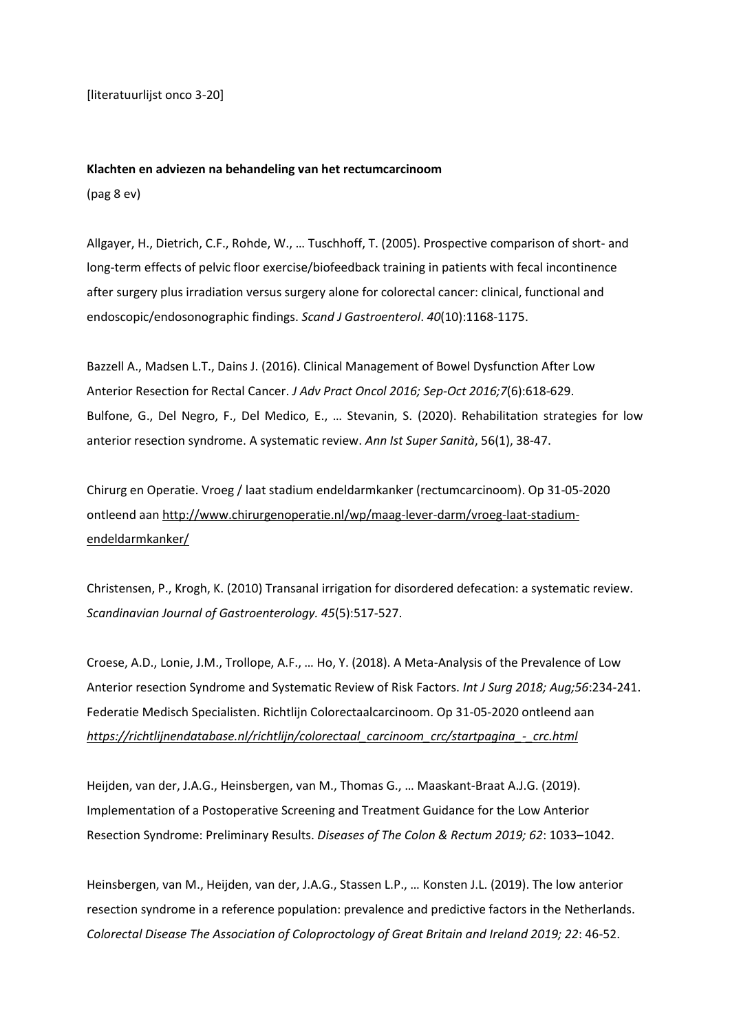[literatuurlijst onco 3-20]

#### **Klachten en adviezen na behandeling van het rectumcarcinoom**

(pag 8 ev)

Allgayer, H., Dietrich, C.F., Rohde, W., … Tuschhoff, T. (2005). Prospective comparison of short- and long-term effects of pelvic floor exercise/biofeedback training in patients with fecal incontinence after surgery plus irradiation versus surgery alone for colorectal cancer: clinical, functional and endoscopic/endosonographic findings. *Scand J Gastroenterol*. *40*(10):1168‐1175.

Bazzell A., Madsen L.T., Dains J. (2016). Clinical Management of Bowel Dysfunction After Low Anterior Resection for Rectal Cancer. *J Adv Pract Oncol 2016; Sep-Oct 2016;7*(6):618-629. Bulfone, G., Del Negro, F., Del Medico, E., … Stevanin, S. (2020). Rehabilitation strategies for low anterior resection syndrome. A systematic review. *Ann Ist Super Sanità*, 56(1), 38-47.

Chirurg en Operatie. Vroeg / laat stadium endeldarmkanker (rectumcarcinoom). Op 31-05-2020 ontleend aan [http://www.chirurgenoperatie.nl/wp/maag-lever-darm/vroeg-laat-stadium](http://www.chirurgenoperatie.nl/wp/maag-lever-darm/vroeg-laat-stadium-endeldarmkanker/)[endeldarmkanker/](http://www.chirurgenoperatie.nl/wp/maag-lever-darm/vroeg-laat-stadium-endeldarmkanker/)

Christensen, P., Krogh, K. (2010) Transanal irrigation for disordered defecation: a systematic review. *Scandinavian Journal of Gastroenterology. 45*(5):517-527.

Croese, A.D., Lonie, J.M., Trollope, A.F., … Ho, Y. (2018). A Meta-Analysis of the Prevalence of Low Anterior resection Syndrome and Systematic Review of Risk Factors. *Int J Surg 2018; Aug;56*:234-241. Federatie Medisch Specialisten. Richtlijn Colorectaalcarcinoom. Op 31-05-2020 ontleend aan *[https://richtlijnendatabase.nl/richtlijn/colorectaal\\_carcinoom\\_crc/startpagina\\_-\\_crc.html](https://richtlijnendatabase.nl/richtlijn/colorectaal_carcinoom_crc/startpagina_-_crc.html)*

Heijden, van der, J.A.G., Heinsbergen, van M., Thomas G., … Maaskant-Braat A.J.G. (2019). Implementation of a Postoperative Screening and Treatment Guidance for the Low Anterior Resection Syndrome: Preliminary Results. *Diseases of The Colon & Rectum 2019; 62*: 1033–1042.

Heinsbergen, van M., Heijden, van der, J.A.G., Stassen L.P., … Konsten J.L. (2019). The low anterior resection syndrome in a reference population: prevalence and predictive factors in the Netherlands. *Colorectal Disease The Association of Coloproctology of Great Britain and Ireland 2019; 22*: 46-52.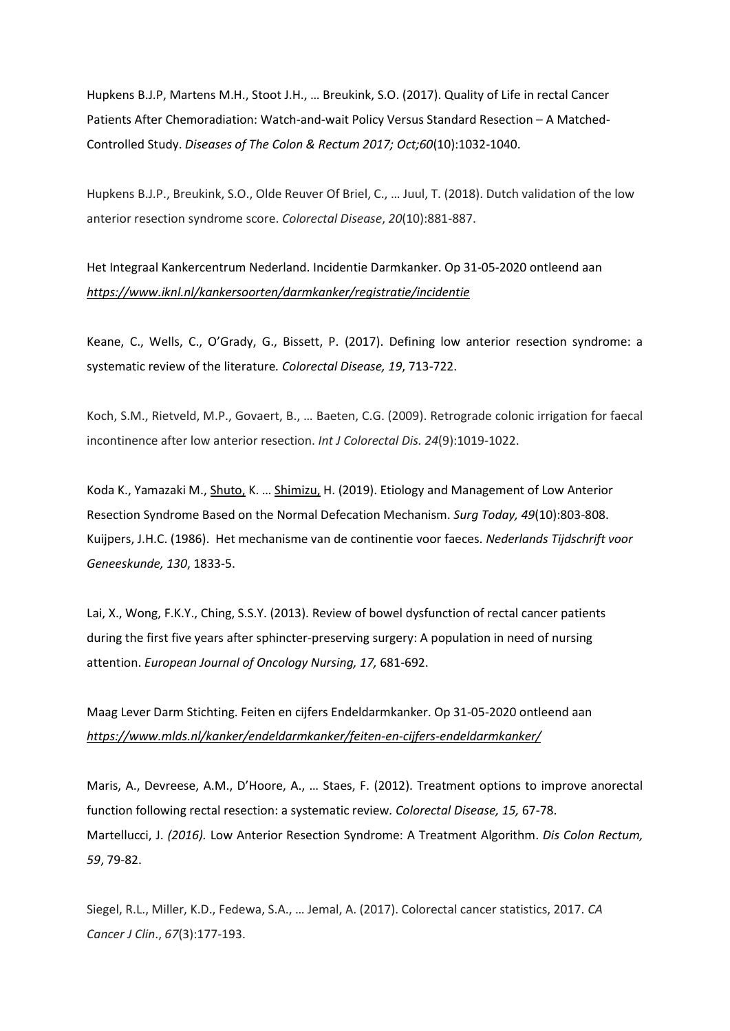Hupkens B.J.P, Martens M.H., Stoot J.H., … Breukink, S.O. (2017). Quality of Life in rectal Cancer Patients After Chemoradiation: Watch-and-wait Policy Versus Standard Resection – A Matched-Controlled Study. *Diseases of The Colon & Rectum 2017; Oct;60*(10):1032-1040.

Hupkens B.J.P., Breukink, S.O., Olde Reuver Of Briel, C., … Juul, T. (2018). Dutch validation of the low anterior resection syndrome score. *Colorectal Disease*, *20*(10):881‐887.

Het Integraal Kankercentrum Nederland. Incidentie Darmkanker. Op 31-05-2020 ontleend aan *<https://www.iknl.nl/kankersoorten/darmkanker/registratie/incidentie>*

Keane, C., Wells, C., O'Grady, G., Bissett, P. (2017). Defining low anterior resection syndrome: a systematic review of the literature*. Colorectal Disease, 19*, 713-722.

Koch, S.M., Rietveld, M.P., Govaert, B., … Baeten, C.G. (2009). Retrograde colonic irrigation for faecal incontinence after low anterior resection. *Int J Colorectal Dis. 24*(9):1019‐1022.

Koda K., Yamazaki M., [Shuto,](https://pubmed.ncbi.nlm.nih.gov/?term=Shuto+K&cauthor_id=30937634) K. … [Shimizu,](https://pubmed.ncbi.nlm.nih.gov/?term=Shimizu+H&cauthor_id=30937634) H. (2019). Etiology and Management of Low Anterior Resection Syndrome Based on the Normal Defecation Mechanism. *Surg Today, 49*(10):803-808. Kuijpers, J.H.C. (1986). Het mechanisme van de continentie voor faeces. *Nederlands Tijdschrift voor Geneeskunde, 130*, 1833-5.

Lai, X., Wong, F.K.Y., Ching, S.S.Y. (2013). Review of bowel dysfunction of rectal cancer patients during the first five years after sphincter-preserving surgery: A population in need of nursing attention. *European Journal of Oncology Nursing, 17,* 681-692.

Maag Lever Darm Stichting. Feiten en cijfers Endeldarmkanker. Op 31-05-2020 ontleend aan *<https://www.mlds.nl/kanker/endeldarmkanker/feiten-en-cijfers-endeldarmkanker/>*

Maris, A., Devreese, A.M., D'Hoore, A., … Staes, F. (2012). Treatment options to improve anorectal function following rectal resection: a systematic review*. Colorectal Disease, 15,* 67-78. Martellucci, J. *(2016).* Low Anterior Resection Syndrome: A Treatment Algorithm. *Dis Colon Rectum, 59*, 79-82.

Siegel, R.L., Miller, K.D., Fedewa, S.A., … Jemal, A. (2017). Colorectal cancer statistics, 2017. *CA Cancer J Clin*., *67*(3):177‐193.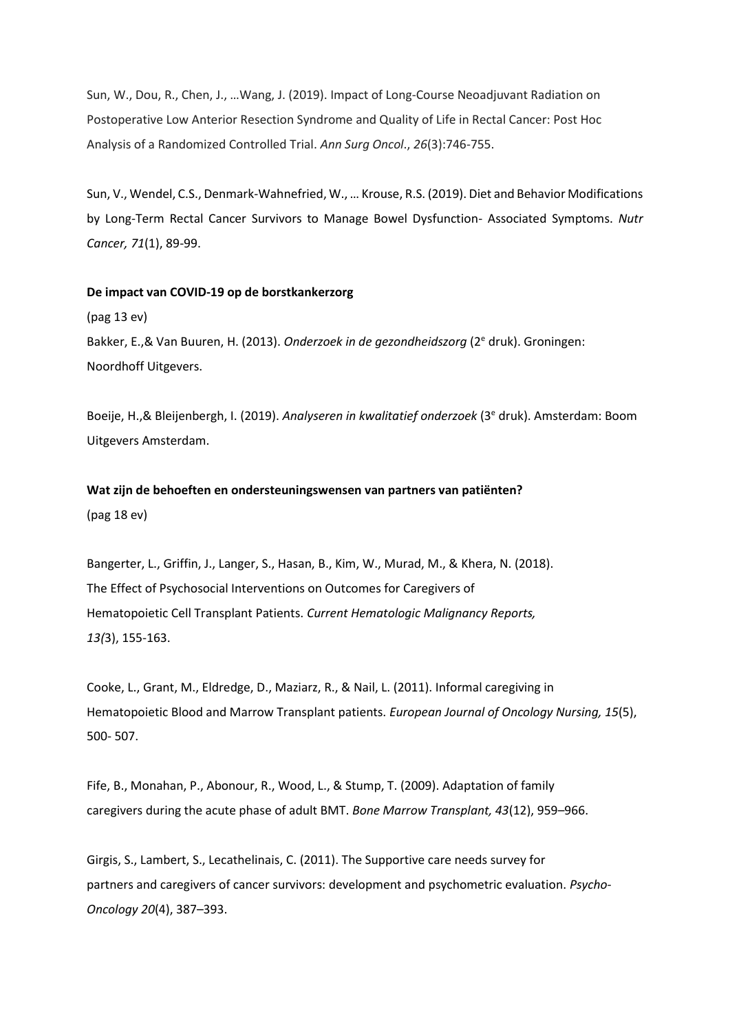Sun, W., Dou, R., Chen, J., …Wang, J. (2019). Impact of Long-Course Neoadjuvant Radiation on Postoperative Low Anterior Resection Syndrome and Quality of Life in Rectal Cancer: Post Hoc Analysis of a Randomized Controlled Trial. *Ann Surg Oncol*., *26*(3):746‐755.

Sun, V., Wendel, C.S., Denmark-Wahnefried, W., … Krouse, R.S. (2019). Diet and Behavior Modifications by Long-Term Rectal Cancer Survivors to Manage Bowel Dysfunction- Associated Symptoms. *Nutr Cancer, 71*(1), 89-99.

## **De impact van COVID-19 op de borstkankerzorg**

(pag 13 ev) Bakker, E.,& Van Buuren, H. (2013). *Onderzoek in de gezondheidszorg* (2<sup>e</sup> druk). Groningen: Noordhoff Uitgevers.

Boeije, H.,& Bleijenbergh, I. (2019). *Analyseren in kwalitatief onderzoek* (3<sup>e</sup> druk). Amsterdam: Boom Uitgevers Amsterdam.

# **Wat zijn de behoeften en ondersteuningswensen van partners van patiënten?** (pag 18 ev)

Bangerter, L., Griffin, J., Langer, S., Hasan, B., Kim, W., Murad, M., & Khera, N. (2018). The Effect of Psychosocial Interventions on Outcomes for Caregivers of Hematopoietic Cell Transplant Patients. *Current Hematologic Malignancy Reports, 13(*3), 155-163.

Cooke, L., Grant, M., Eldredge, D., Maziarz, R., & Nail, L. (2011). Informal caregiving in Hematopoietic Blood and Marrow Transplant patients. *European Journal of Oncology Nursing, 15*(5), 500- 507.

Fife, B., Monahan, P., Abonour, R., Wood, L., & Stump, T. (2009). Adaptation of family caregivers during the acute phase of adult BMT. *Bone Marrow Transplant, 43*(12), 959–966.

Girgis, S., Lambert, S., Lecathelinais, C. (2011). The Supportive care needs survey for partners and caregivers of cancer survivors: development and psychometric evaluation. *Psycho-Oncology 20*(4), 387–393.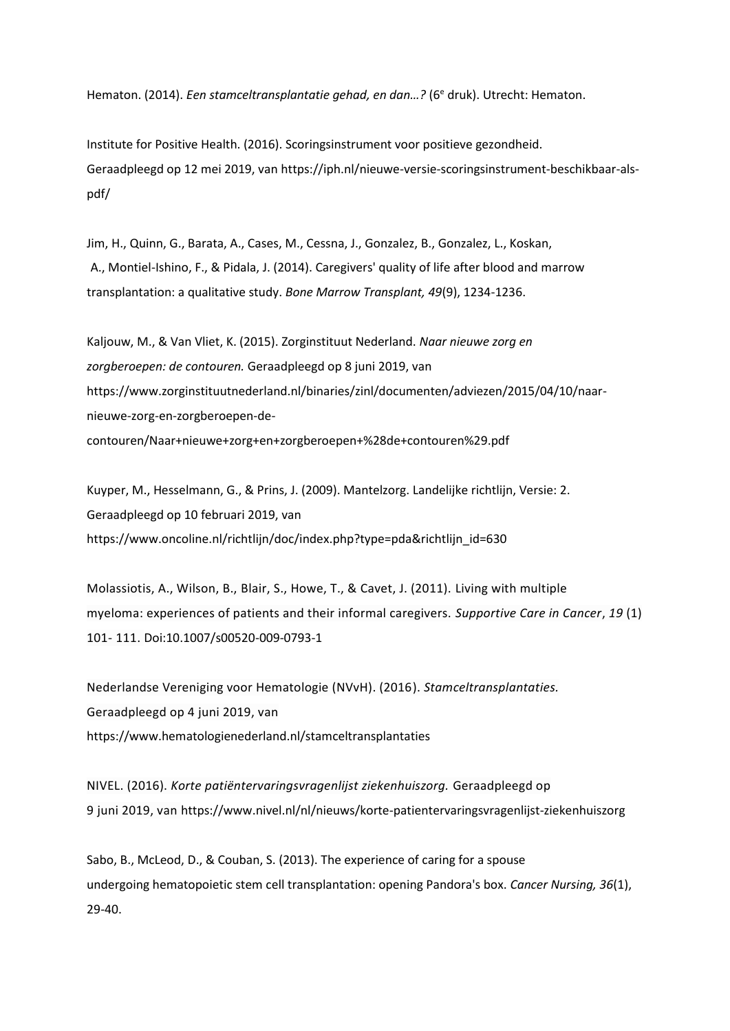Hematon. (2014). *Een stamceltransplantatie gehad, en dan...?* (6<sup>e</sup> druk). Utrecht: Hematon.

Institute for Positive Health. (2016). Scoringsinstrument voor positieve gezondheid. Geraadpleegd op 12 mei 2019, van [https://iph.nl/nieuwe-versie-scoringsinstrument-beschikbaar-als](https://iph.nl/nieuwe-versie-scoringsinstrument-beschikbaar-als-pdf/)[pdf/](https://iph.nl/nieuwe-versie-scoringsinstrument-beschikbaar-als-pdf/)

Jim, H., Quinn, G., Barata, A., Cases, M., Cessna, J., Gonzalez, B., Gonzalez, L., Koskan, A., Montiel-Ishino, F., & Pidala, J. (2014). Caregivers' quality of life after blood and marrow transplantation: a qualitative study. *Bone Marrow Transplant, 49*(9), 1234-1236.

Kaljouw, M., & Van Vliet, K. (2015). Zorginstituut Nederland. *Naar nieuwe zorg en zorgberoepen: de contouren.* Geraadpleegd op 8 juni 2019, van [https://www.zorginstituutnederland.nl/binaries/zinl/documenten/adviezen/2015/04/10/naar](https://www.zorginstituutnederland.nl/binaries/zinl/documenten/adviezen/2015/04/10/naar-nieuwe-zorg-en-zorgberoepen-de-contouren/Naar+nieuwe+zorg+en+zorgberoepen+%28de+contouren%29.pdf)[nieuwe-zorg-en-zorgberoepen-de](https://www.zorginstituutnederland.nl/binaries/zinl/documenten/adviezen/2015/04/10/naar-nieuwe-zorg-en-zorgberoepen-de-contouren/Naar+nieuwe+zorg+en+zorgberoepen+%28de+contouren%29.pdf)[contouren/Naar+nieuwe+zorg+en+zorgberoepen+%28de+contouren%29.pdf](https://www.zorginstituutnederland.nl/binaries/zinl/documenten/adviezen/2015/04/10/naar-nieuwe-zorg-en-zorgberoepen-de-contouren/Naar+nieuwe+zorg+en+zorgberoepen+%28de+contouren%29.pdf)

Kuyper, M., Hesselmann, G., & Prins, J. (2009). Mantelzorg. Landelijke richtlijn, Versie: 2. Geraadpleegd op 10 februari 2019, van [https://www.oncoline.nl/richtlijn/doc/index.php?type=pda&richtlijn\\_id=630](https://www.oncoline.nl/richtlijn/doc/index.php?type=pda&richtlijn_id=630)

Molassiotis, A., Wilson, B., Blair, S., Howe, T., & Cavet, J. (2011). Living with multiple myeloma: experiences of patients and their informal caregivers. *Supportive Care in Cancer*, *19* (1) 101- 111. Doi:10.1007/s00520-009-0793-1

Nederlandse Vereniging voor Hematologie (NVvH). (2016). *Stamceltransplantaties.* Geraadpleegd op 4 juni 2019, van https://www.hematologienederland.nl/stamceltransplantaties

NIVEL. (2016). *Korte patiëntervaringsvragenlijst ziekenhuiszorg.* Geraadpleegd op 9 juni 2019, van<https://www.nivel.nl/nl/nieuws/korte-patientervaringsvragenlijst-ziekenhuiszorg>

Sabo, B., McLeod, D., & Couban, S. (2013). The experience of caring for a spouse undergoing hematopoietic stem cell transplantation: opening Pandora's box. *Cancer Nursing, 36*(1), 29-40.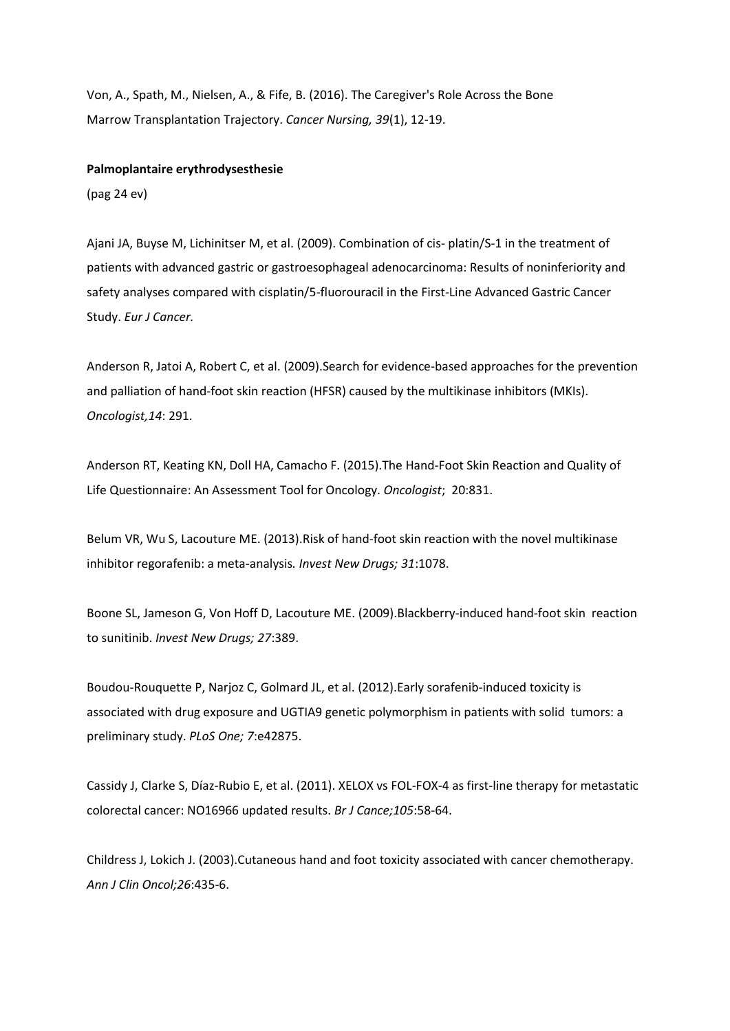Von, A., Spath, M., Nielsen, A., & Fife, B. (2016). The Caregiver's Role Across the Bone Marrow Transplantation Trajectory. *Cancer Nursing, 39*(1), 12-19.

#### **Palmoplantaire erythrodysesthesie**

(pag 24 ev)

Ajani JA, Buyse M, Lichinitser M, et al. (2009). Combination of cis- platin/S-1 in the treatment of patients with advanced gastric or gastroesophageal adenocarcinoma: Results of noninferiority and safety analyses compared with cisplatin/5-fluorouracil in the First-Line Advanced Gastric Cancer Study. *Eur J Cancer.*

Anderson R, Jatoi A, Robert C, et al. (2009).Search for evidence-based approaches for the prevention and palliation of hand-foot skin reaction (HFSR) caused by the multikinase inhibitors (MKIs). *Oncologist,14*: 291.

Anderson RT, Keating KN, Doll HA, Camacho F. (2015).The Hand-Foot Skin Reaction and Quality of Life Questionnaire: An Assessment Tool for Oncology. *Oncologist*; 20:831.

Belum VR, Wu S, Lacouture ME. (2013).Risk of hand-foot skin reaction with the novel multikinase inhibitor regorafenib: a meta-analysis*. Invest New Drugs; 31*:1078.

Boone SL, Jameson G, Von Hoff D, Lacouture ME. (2009).Blackberry-induced hand-foot skin reaction to sunitinib. *Invest New Drugs; 27*:389.

Boudou-Rouquette P, Narjoz C, Golmard JL, et al. (2012).Early sorafenib-induced toxicity is associated with drug exposure and UGTIA9 genetic polymorphism in patients with solid tumors: a preliminary study. *PLoS One; 7*:e42875.

Cassidy J, Clarke S, Díaz-Rubio E, et al. (2011). XELOX vs FOL-FOX-4 as first-line therapy for metastatic colorectal cancer: NO16966 updated results. *Br J Cance;105*:58-64.

Childress J, Lokich J. (2003).Cutaneous hand and foot toxicity associated with cancer chemotherapy. *Ann J Clin Oncol;26*:435-6.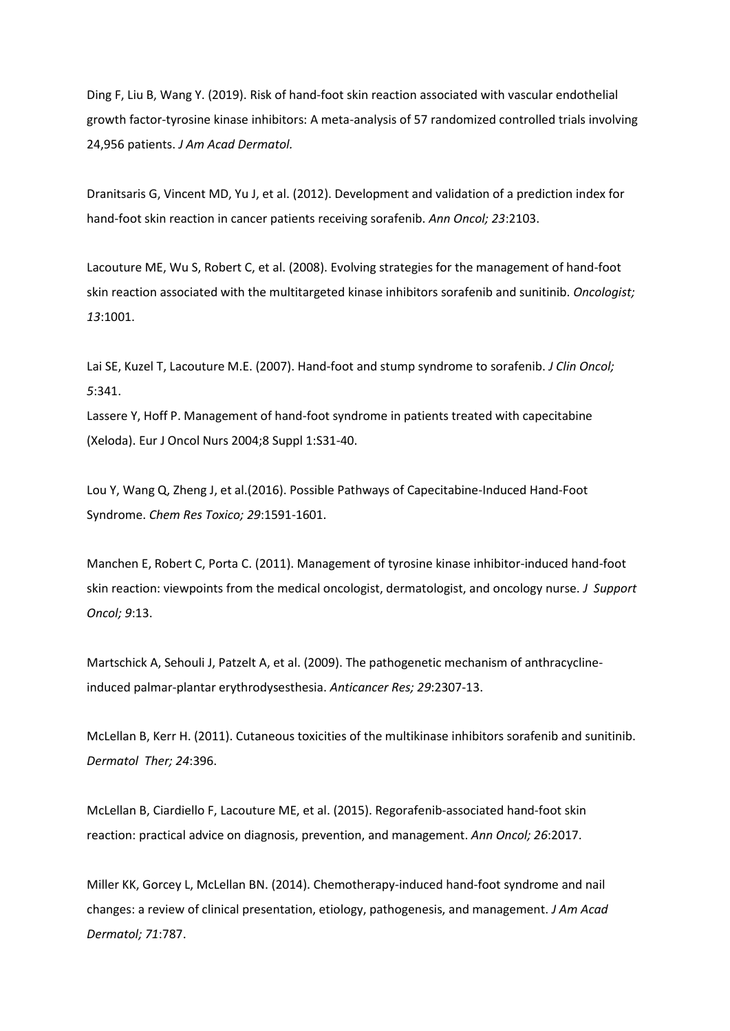Ding F, Liu B, Wang Y. (2019). Risk of hand-foot skin reaction associated with vascular endothelial growth factor-tyrosine kinase inhibitors: A meta-analysis of 57 randomized controlled trials involving 24,956 patients. *J Am Acad Dermatol.*

Dranitsaris G, Vincent MD, Yu J, et al. (2012). Development and validation of a prediction index for hand-foot skin reaction in cancer patients receiving sorafenib. *Ann Oncol; 23*:2103.

Lacouture ME, Wu S, Robert C, et al. (2008). Evolving strategies for the management of hand-foot skin reaction associated with the multitargeted kinase inhibitors sorafenib and sunitinib. *Oncologist; 13*:1001.

Lai SE, Kuzel T, Lacouture M.E. (2007). Hand-foot and stump syndrome to sorafenib. *J Clin Oncol; 5*:341.

Lassere Y, Hoff P. Management of hand-foot syndrome in patients treated with capecitabine (Xeloda). Eur J Oncol Nurs 2004;8 Suppl 1:S31-40.

Lou Y, Wang Q, Zheng J, et al.(2016). Possible Pathways of Capecitabine-Induced Hand-Foot Syndrome. *Chem Res Toxico; 29*:1591-1601.

Manchen E, Robert C, Porta C. (2011). Management of tyrosine kinase inhibitor-induced hand-foot skin reaction: viewpoints from the medical oncologist, dermatologist, and oncology nurse. *J Support Oncol; 9*:13.

Martschick A, Sehouli J, Patzelt A, et al. (2009). The pathogenetic mechanism of anthracyclineinduced palmar-plantar erythrodysesthesia. *Anticancer Res; 29*:2307-13.

McLellan B, Kerr H. (2011). Cutaneous toxicities of the multikinase inhibitors sorafenib and sunitinib. *Dermatol Ther; 24*:396.

McLellan B, Ciardiello F, Lacouture ME, et al. (2015). Regorafenib-associated hand-foot skin reaction: practical advice on diagnosis, prevention, and management. *Ann Oncol; 26*:2017.

Miller KK, Gorcey L, McLellan BN. (2014). Chemotherapy-induced hand-foot syndrome and nail changes: a review of clinical presentation, etiology, pathogenesis, and management. *J Am Acad Dermatol; 71*:787.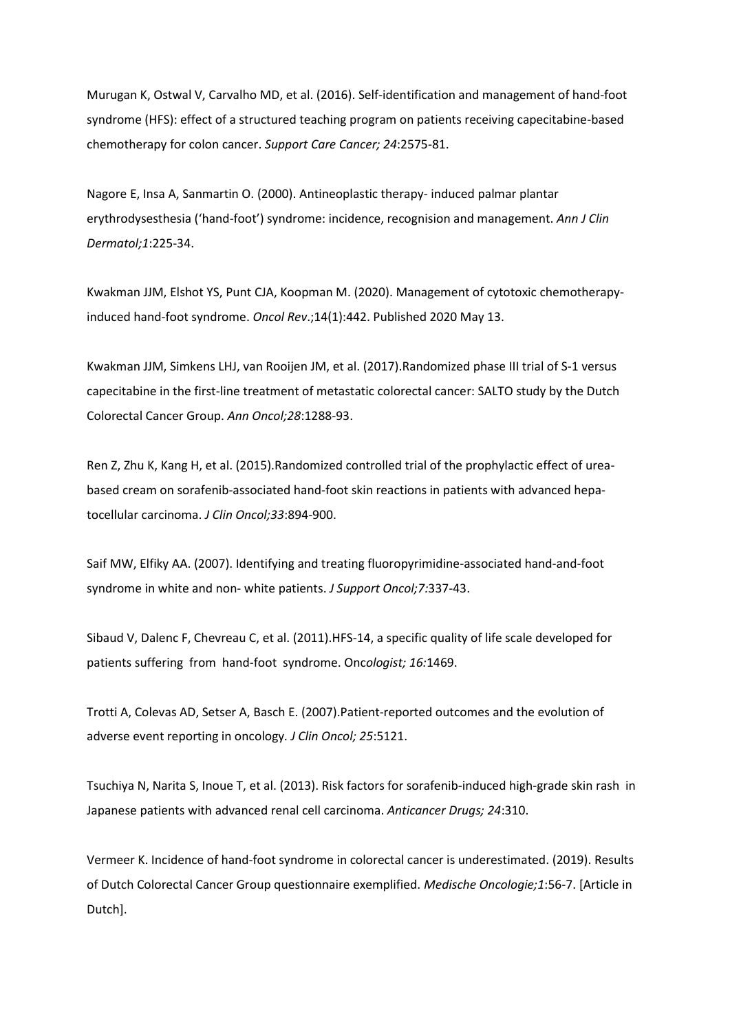Murugan K, Ostwal V, Carvalho MD, et al. (2016). Self-identification and management of hand-foot syndrome (HFS): effect of a structured teaching program on patients receiving capecitabine-based chemotherapy for colon cancer. *Support Care Cancer; 24*:2575-81.

Nagore E, Insa A, Sanmartin O. (2000). Antineoplastic therapy- induced palmar plantar erythrodysesthesia ('hand-foot') syndrome: incidence, recognision and management. *Ann J Clin Dermatol;1*:225-34.

Kwakman JJM, Elshot YS, Punt CJA, Koopman M. (2020). Management of cytotoxic chemotherapyinduced hand-foot syndrome. *Oncol Rev*.;14(1):442. Published 2020 May 13.

Kwakman JJM, Simkens LHJ, van Rooijen JM, et al. (2017).Randomized phase III trial of S-1 versus capecitabine in the first-line treatment of metastatic colorectal cancer: SALTO study by the Dutch Colorectal Cancer Group. *Ann Oncol;28*:1288-93.

Ren Z, Zhu K, Kang H, et al. (2015).Randomized controlled trial of the prophylactic effect of ureabased cream on sorafenib-associated hand-foot skin reactions in patients with advanced hepatocellular carcinoma. *J Clin Oncol;33*:894-900.

Saif MW, Elfiky AA. (2007). Identifying and treating fluoropyrimidine-associated hand-and-foot syndrome in white and non- white patients. *J Support Oncol;7:*337-43.

Sibaud V, Dalenc F, Chevreau C, et al. (2011).HFS-14, a specific quality of life scale developed for patients suffering from hand-foot syndrome. Onc*ologist; 16:*1469.

Trotti A, Colevas AD, Setser A, Basch E. (2007).Patient-reported outcomes and the evolution of adverse event reporting in oncology*. J Clin Oncol; 25*:5121.

Tsuchiya N, Narita S, Inoue T, et al. (2013). Risk factors for sorafenib-induced high-grade skin rash in Japanese patients with advanced renal cell carcinoma. *Anticancer Drugs; 24*:310.

Vermeer K. Incidence of hand-foot syndrome in colorectal cancer is underestimated. (2019). Results of Dutch Colorectal Cancer Group questionnaire exemplified. *Medische Oncologie;1*:56-7. [Article in Dutch].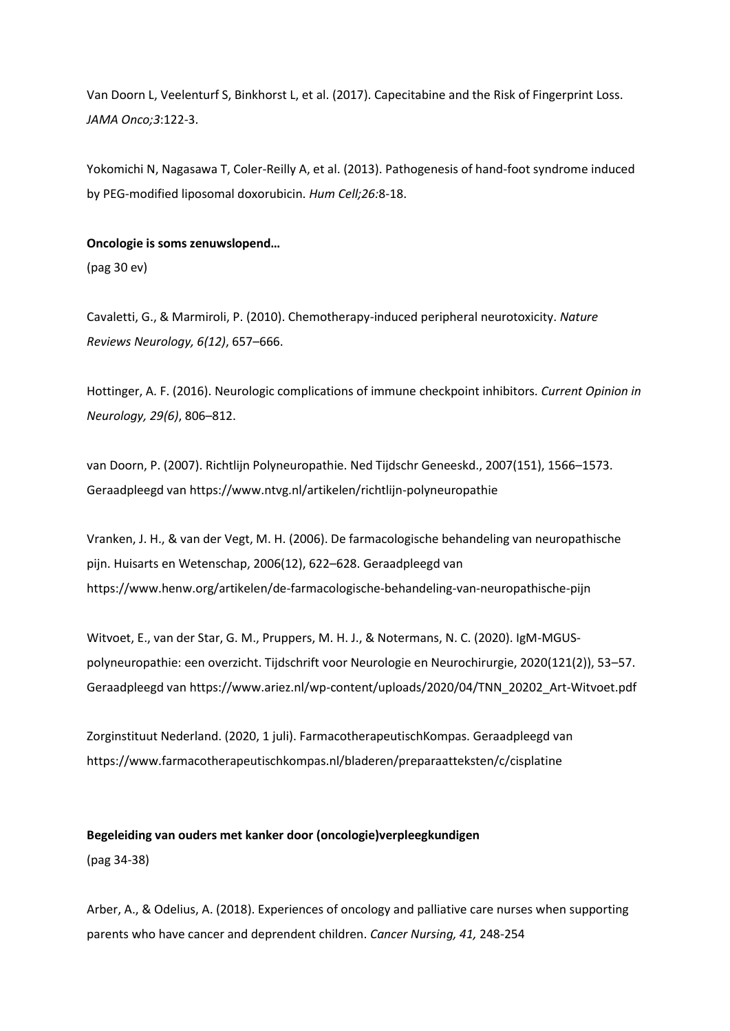Van Doorn L, Veelenturf S, Binkhorst L, et al. (2017). Capecitabine and the Risk of Fingerprint Loss. *JAMA Onco;3*:122-3.

Yokomichi N, Nagasawa T, Coler-Reilly A, et al. (2013). Pathogenesis of hand-foot syndrome induced by PEG-modified liposomal doxorubicin. *Hum Cell;26:*8-18.

## **Oncologie is soms zenuwslopend…**

(pag 30 ev)

Cavaletti, G., & Marmiroli, P. (2010). Chemotherapy-induced peripheral neurotoxicity. *Nature Reviews Neurology, 6(12)*, 657–666.

Hottinger, A. F. (2016). Neurologic complications of immune checkpoint inhibitors. *Current Opinion in Neurology, 29(6)*, 806–812.

van Doorn, P. (2007). Richtlijn Polyneuropathie. Ned Tijdschr Geneeskd., 2007(151), 1566–1573. Geraadpleegd van https://www.ntvg.nl/artikelen/richtlijn-polyneuropathie

Vranken, J. H., & van der Vegt, M. H. (2006). De farmacologische behandeling van neuropathische pijn. Huisarts en Wetenschap, 2006(12), 622–628. Geraadpleegd van https://www.henw.org/artikelen/de-farmacologische-behandeling-van-neuropathische-pijn

Witvoet, E., van der Star, G. M., Pruppers, M. H. J., & Notermans, N. C. (2020). IgM-MGUSpolyneuropathie: een overzicht. Tijdschrift voor Neurologie en Neurochirurgie, 2020(121(2)), 53–57. Geraadpleegd van https://www.ariez.nl/wp-content/uploads/2020/04/TNN\_20202\_Art-Witvoet.pdf

Zorginstituut Nederland. (2020, 1 juli). FarmacotherapeutischKompas. Geraadpleegd van https://www.farmacotherapeutischkompas.nl/bladeren/preparaatteksten/c/cisplatine

**Begeleiding van ouders met kanker door (oncologie)verpleegkundigen** (pag 34-38)

Arber, A., & Odelius, A. (2018). Experiences of oncology and palliative care nurses when supporting parents who have cancer and deprendent children. *Cancer Nursing, 41,* 248-254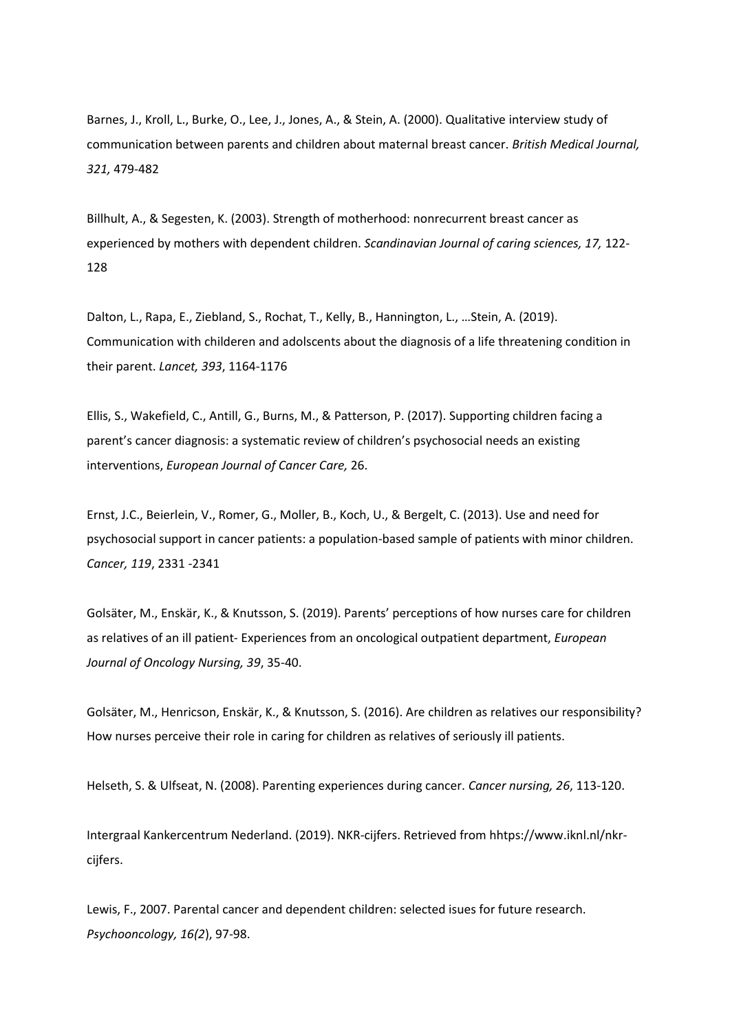Barnes, J., Kroll, L., Burke, O., Lee, J., Jones, A., & Stein, A. (2000). Qualitative interview study of communication between parents and children about maternal breast cancer. *British Medical Journal, 321,* 479-482

Billhult, A., & Segesten, K. (2003). Strength of motherhood: nonrecurrent breast cancer as experienced by mothers with dependent children. *Scandinavian Journal of caring sciences, 17,* 122- 128

Dalton, L., Rapa, E., Ziebland, S., Rochat, T., Kelly, B., Hannington, L., …Stein, A. (2019). Communication with childeren and adolscents about the diagnosis of a life threatening condition in their parent. *Lancet, 393*, 1164-1176

Ellis, S., Wakefield, C., Antill, G., Burns, M., & Patterson, P. (2017). Supporting children facing a parent's cancer diagnosis: a systematic review of children's psychosocial needs an existing interventions, *European Journal of Cancer Care,* 26.

Ernst, J.C., Beierlein, V., Romer, G., Moller, B., Koch, U., & Bergelt, C. (2013). Use and need for psychosocial support in cancer patients: a population-based sample of patients with minor children. *Cancer, 119*, 2331 -2341

Golsäter, M., Enskär, K., & Knutsson, S. (2019). Parents' perceptions of how nurses care for children as relatives of an ill patient- Experiences from an oncological outpatient department, *European Journal of Oncology Nursing, 39*, 35-40.

Golsäter, M., Henricson, Enskär, K., & Knutsson, S. (2016). Are children as relatives our responsibility? How nurses perceive their role in caring for children as relatives of seriously ill patients.

Helseth, S. & Ulfseat, N. (2008). Parenting experiences during cancer. *Cancer nursing, 26*, 113-120.

Intergraal Kankercentrum Nederland. (2019). NKR-cijfers. Retrieved from hhtps://www.iknl.nl/nkrcijfers.

Lewis, F., 2007. Parental cancer and dependent children: selected isues for future research. *Psychooncology, 16(2*), 97-98.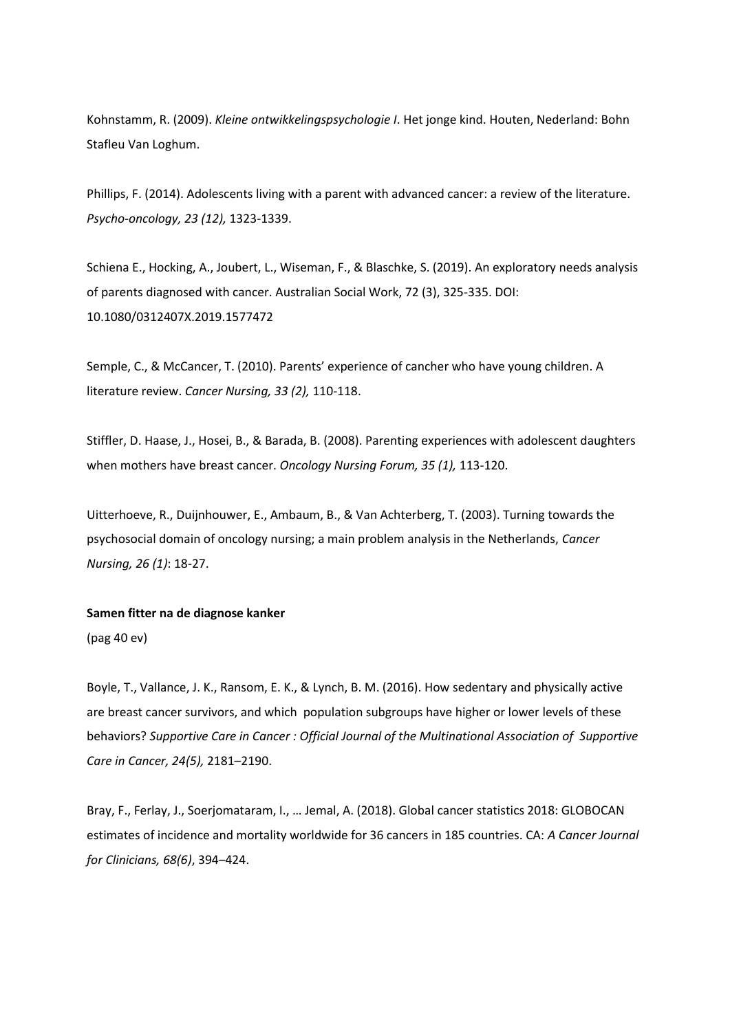Kohnstamm, R. (2009). *Kleine ontwikkelingspsychologie I*. Het jonge kind. Houten, Nederland: Bohn Stafleu Van Loghum.

Phillips, F. (2014). Adolescents living with a parent with advanced cancer: a review of the literature. *Psycho-oncology, 23 (12),* 1323-1339.

Schiena E., Hocking, A., Joubert, L., Wiseman, F., & Blaschke, S. (2019). An exploratory needs analysis of parents diagnosed with cancer. Australian Social Work, 72 (3), 325-335. DOI: 10.1080/0312407X.2019.1577472

Semple, C., & McCancer, T. (2010). Parents' experience of cancher who have young children. A literature review. *Cancer Nursing, 33 (2),* 110-118.

Stiffler, D. Haase, J., Hosei, B., & Barada, B. (2008). Parenting experiences with adolescent daughters when mothers have breast cancer. *Oncology Nursing Forum, 35 (1),* 113-120.

Uitterhoeve, R., Duijnhouwer, E., Ambaum, B., & Van Achterberg, T. (2003). Turning towards the psychosocial domain of oncology nursing; a main problem analysis in the Netherlands, *Cancer Nursing, 26 (1)*: 18-27.

#### **Samen fitter na de diagnose kanker**

(pag 40 ev)

Boyle, T., Vallance, J. K., Ransom, E. K., & Lynch, B. M. (2016). How sedentary and physically active are breast cancer survivors, and which population subgroups have higher or lower levels of these behaviors? *Supportive Care in Cancer : Official Journal of the Multinational Association of Supportive Care in Cancer, 24(5),* 2181–2190.

Bray, F., Ferlay, J., Soerjomataram, I., … Jemal, A. (2018). Global cancer statistics 2018: GLOBOCAN estimates of incidence and mortality worldwide for 36 cancers in 185 countries. CA: *A Cancer Journal for Clinicians, 68(6)*, 394–424.